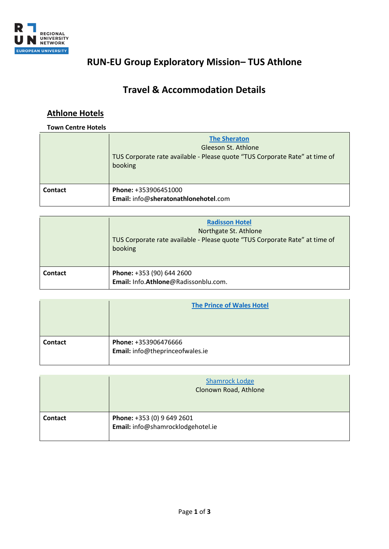

# **RUN-EU Group Exploratory Mission– TUS Athlone**

## **Travel & Accommodation Details**

### **Athlone Hotels**

#### **Town Centre Hotels**

|         | <b>The Sheraton</b><br>Gleeson St. Athlone<br>TUS Corporate rate available - Please quote "TUS Corporate Rate" at time of<br>booking |
|---------|--------------------------------------------------------------------------------------------------------------------------------------|
| Contact | Phone: +353906451000<br>Email: info@sheratonathlonehotel.com                                                                         |

|                | <b>Radisson Hotel</b><br>Northgate St. Athlone<br>TUS Corporate rate available - Please quote "TUS Corporate Rate" at time of<br>booking |
|----------------|------------------------------------------------------------------------------------------------------------------------------------------|
| <b>Contact</b> | Phone: +353 (90) 644 2600<br>Email: Info.Athlone@Radissonblu.com.                                                                        |

|         | <b>The Prince of Wales Hotel</b>                        |
|---------|---------------------------------------------------------|
|         |                                                         |
| Contact | Phone: +353906476666<br>Email: info@theprinceofwales.ie |

|         | <b>Shamrock Lodge</b><br>Clonown Road, Athlone                  |
|---------|-----------------------------------------------------------------|
| Contact | Phone: +353 (0) 9 649 2601<br>Email: info@shamrocklodgehotel.ie |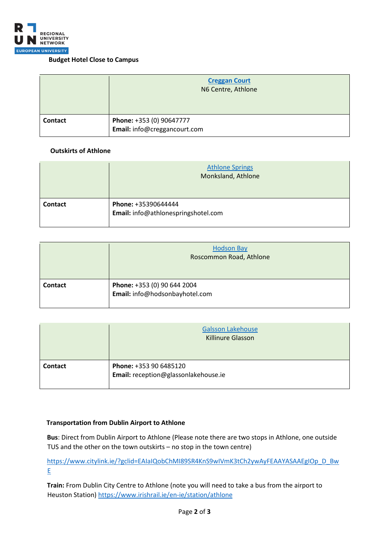

#### **Budget Hotel Close to Campus**

|         | <b>Creggan Court</b><br>N6 Centre, Athlone               |
|---------|----------------------------------------------------------|
| Contact | Phone: +353 (0) 90647777<br>Email: info@creggancourt.com |

#### **Outskirts of Athlone**

|                | <b>Athlone Springs</b><br>Monksland, Athlone               |
|----------------|------------------------------------------------------------|
| <b>Contact</b> | Phone: +35390644444<br>Email: info@athlonespringshotel.com |

|         | <b>Hodson Bay</b><br>Roscommon Road, Athlone                  |
|---------|---------------------------------------------------------------|
| Contact | Phone: +353 (0) 90 644 2004<br>Email: info@hodsonbayhotel.com |

|                | <b>Galsson Lakehouse</b><br><b>Killinure Glasson</b>           |
|----------------|----------------------------------------------------------------|
| <b>Contact</b> | Phone: +353 90 6485120<br>Email: reception@glassonlakehouse.ie |

#### **Transportation from Dublin Airport to Athlone**

**Bus**: Direct from Dublin Airport to Athlone (Please note there are two stops in Athlone, one outside TUS and the other on the town outskirts – no stop in the town centre)

[https://www.citylink.ie/?gclid=EAIaIQobChMI89SR4KnS9wIVmK3tCh2ywAyFEAAYASAAEgIOp\\_D\\_Bw](https://www.citylink.ie/?gclid=EAIaIQobChMI89SR4KnS9wIVmK3tCh2ywAyFEAAYASAAEgIOp_D_BwE) [E](https://www.citylink.ie/?gclid=EAIaIQobChMI89SR4KnS9wIVmK3tCh2ywAyFEAAYASAAEgIOp_D_BwE)

**Train:** From Dublin City Centre to Athlone (note you will need to take a bus from the airport to Heuston Station)<https://www.irishrail.ie/en-ie/station/athlone>